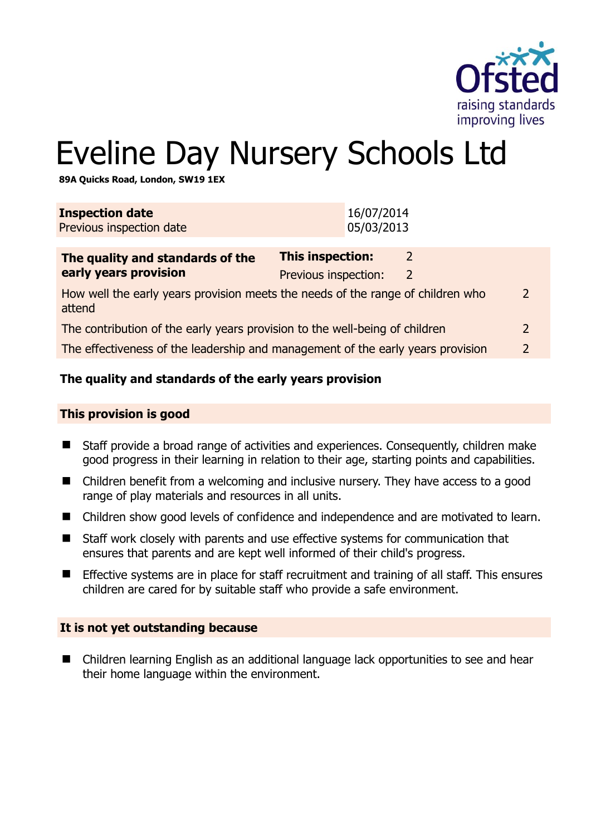

# Eveline Day Nursery Schools Ltd

**89A Quicks Road, London, SW19 1EX** 

| <b>Inspection date</b><br>Previous inspection date                                                         | 16/07/2014<br>05/03/2013                                                   |  |
|------------------------------------------------------------------------------------------------------------|----------------------------------------------------------------------------|--|
| The quality and standards of the<br>early years provision                                                  | This inspection:<br>$\mathcal{L}$<br>Previous inspection:<br>$\mathcal{L}$ |  |
| How well the early years provision meets the needs of the range of children who<br>$\mathcal{D}$<br>attend |                                                                            |  |
| The contribution of the early years provision to the well-being of children<br>2                           |                                                                            |  |
| The effectiveness of the leadership and management of the early years provision<br>$\mathcal{P}$           |                                                                            |  |
|                                                                                                            |                                                                            |  |

# **The quality and standards of the early years provision**

#### **This provision is good**

- Staff provide a broad range of activities and experiences. Consequently, children make good progress in their learning in relation to their age, starting points and capabilities.
- Children benefit from a welcoming and inclusive nursery. They have access to a good range of play materials and resources in all units.
- Children show good levels of confidence and independence and are motivated to learn.
- Staff work closely with parents and use effective systems for communication that ensures that parents and are kept well informed of their child's progress.
- **Effective systems are in place for staff recruitment and training of all staff. This ensures** children are cared for by suitable staff who provide a safe environment.

#### **It is not yet outstanding because**

■ Children learning English as an additional language lack opportunities to see and hear their home language within the environment.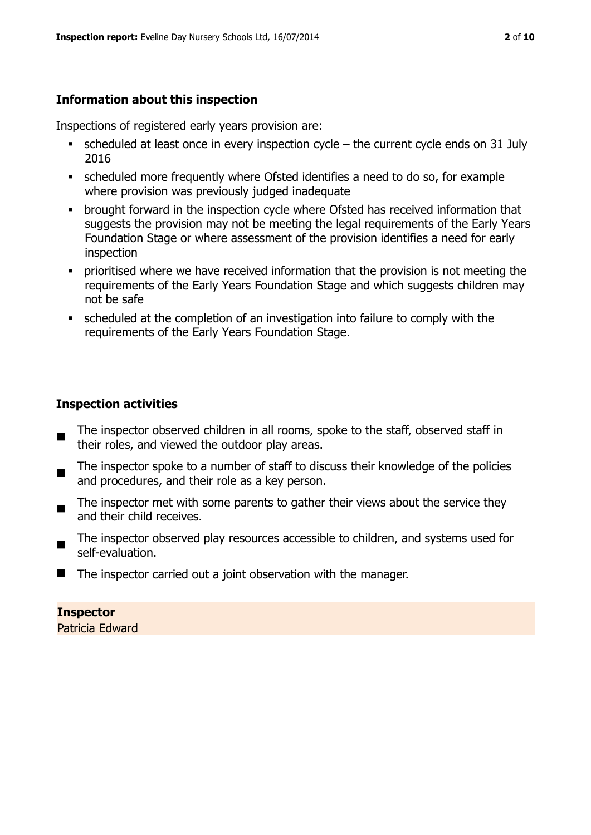# **Information about this inspection**

Inspections of registered early years provision are:

- $\blacksquare$  scheduled at least once in every inspection cycle the current cycle ends on 31 July 2016
- scheduled more frequently where Ofsted identifies a need to do so, for example where provision was previously judged inadequate
- **•** brought forward in the inspection cycle where Ofsted has received information that suggests the provision may not be meeting the legal requirements of the Early Years Foundation Stage or where assessment of the provision identifies a need for early inspection
- **•** prioritised where we have received information that the provision is not meeting the requirements of the Early Years Foundation Stage and which suggests children may not be safe
- scheduled at the completion of an investigation into failure to comply with the requirements of the Early Years Foundation Stage.

# **Inspection activities**

- The inspector observed children in all rooms, spoke to the staff, observed staff in their roles, and viewed the outdoor play areas.
- The inspector spoke to a number of staff to discuss their knowledge of the policies and procedures, and their role as a key person.
- The inspector met with some parents to gather their views about the service they and their child receives.
- The inspector observed play resources accessible to children, and systems used for self-evaluation.
- The inspector carried out a joint observation with the manager.

**Inspector**  Patricia Edward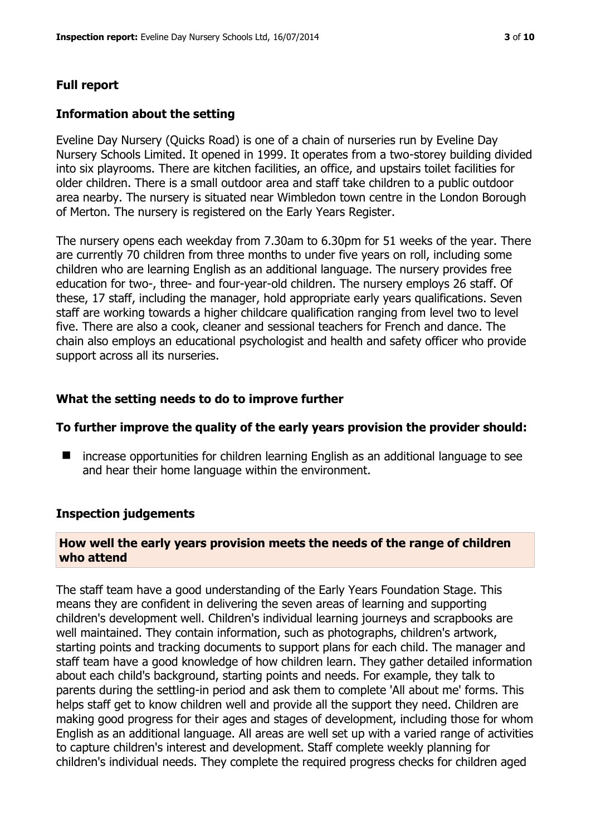#### **Full report**

#### **Information about the setting**

Eveline Day Nursery (Quicks Road) is one of a chain of nurseries run by Eveline Day Nursery Schools Limited. It opened in 1999. It operates from a two-storey building divided into six playrooms. There are kitchen facilities, an office, and upstairs toilet facilities for older children. There is a small outdoor area and staff take children to a public outdoor area nearby. The nursery is situated near Wimbledon town centre in the London Borough of Merton. The nursery is registered on the Early Years Register.

The nursery opens each weekday from 7.30am to 6.30pm for 51 weeks of the year. There are currently 70 children from three months to under five years on roll, including some children who are learning English as an additional language. The nursery provides free education for two-, three- and four-year-old children. The nursery employs 26 staff. Of these, 17 staff, including the manager, hold appropriate early years qualifications. Seven staff are working towards a higher childcare qualification ranging from level two to level five. There are also a cook, cleaner and sessional teachers for French and dance. The chain also employs an educational psychologist and health and safety officer who provide support across all its nurseries.

#### **What the setting needs to do to improve further**

#### **To further improve the quality of the early years provision the provider should:**

■ increase opportunities for children learning English as an additional language to see and hear their home language within the environment.

#### **Inspection judgements**

## **How well the early years provision meets the needs of the range of children who attend**

The staff team have a good understanding of the Early Years Foundation Stage. This means they are confident in delivering the seven areas of learning and supporting children's development well. Children's individual learning journeys and scrapbooks are well maintained. They contain information, such as photographs, children's artwork, starting points and tracking documents to support plans for each child. The manager and staff team have a good knowledge of how children learn. They gather detailed information about each child's background, starting points and needs. For example, they talk to parents during the settling-in period and ask them to complete 'All about me' forms. This helps staff get to know children well and provide all the support they need. Children are making good progress for their ages and stages of development, including those for whom English as an additional language. All areas are well set up with a varied range of activities to capture children's interest and development. Staff complete weekly planning for children's individual needs. They complete the required progress checks for children aged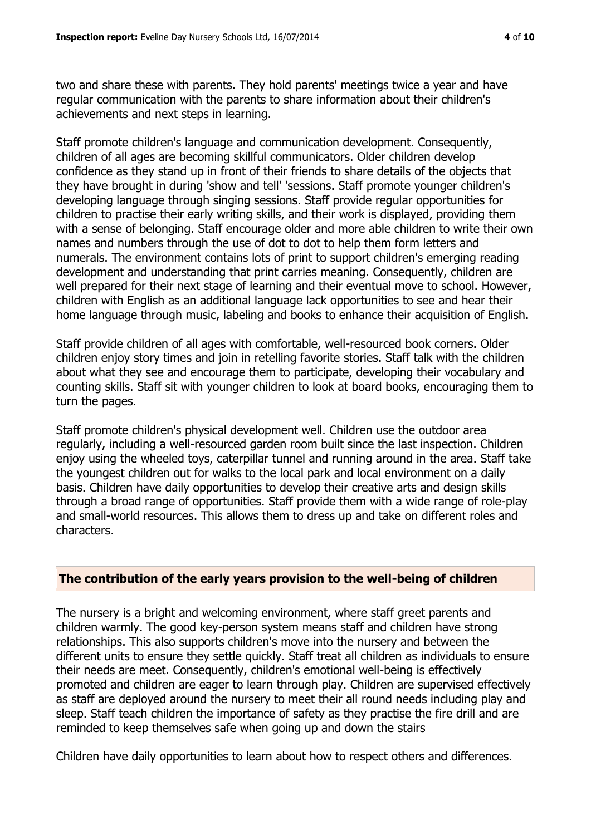two and share these with parents. They hold parents' meetings twice a year and have regular communication with the parents to share information about their children's achievements and next steps in learning.

Staff promote children's language and communication development. Consequently, children of all ages are becoming skillful communicators. Older children develop confidence as they stand up in front of their friends to share details of the objects that they have brought in during 'show and tell' 'sessions. Staff promote younger children's developing language through singing sessions. Staff provide regular opportunities for children to practise their early writing skills, and their work is displayed, providing them with a sense of belonging. Staff encourage older and more able children to write their own names and numbers through the use of dot to dot to help them form letters and numerals. The environment contains lots of print to support children's emerging reading development and understanding that print carries meaning. Consequently, children are well prepared for their next stage of learning and their eventual move to school. However, children with English as an additional language lack opportunities to see and hear their home language through music, labeling and books to enhance their acquisition of English.

Staff provide children of all ages with comfortable, well-resourced book corners. Older children enjoy story times and join in retelling favorite stories. Staff talk with the children about what they see and encourage them to participate, developing their vocabulary and counting skills. Staff sit with younger children to look at board books, encouraging them to turn the pages.

Staff promote children's physical development well. Children use the outdoor area regularly, including a well-resourced garden room built since the last inspection. Children enjoy using the wheeled toys, caterpillar tunnel and running around in the area. Staff take the youngest children out for walks to the local park and local environment on a daily basis. Children have daily opportunities to develop their creative arts and design skills through a broad range of opportunities. Staff provide them with a wide range of role-play and small-world resources. This allows them to dress up and take on different roles and characters.

#### **The contribution of the early years provision to the well-being of children**

The nursery is a bright and welcoming environment, where staff greet parents and children warmly. The good key-person system means staff and children have strong relationships. This also supports children's move into the nursery and between the different units to ensure they settle quickly. Staff treat all children as individuals to ensure their needs are meet. Consequently, children's emotional well-being is effectively promoted and children are eager to learn through play. Children are supervised effectively as staff are deployed around the nursery to meet their all round needs including play and sleep. Staff teach children the importance of safety as they practise the fire drill and are reminded to keep themselves safe when going up and down the stairs

Children have daily opportunities to learn about how to respect others and differences.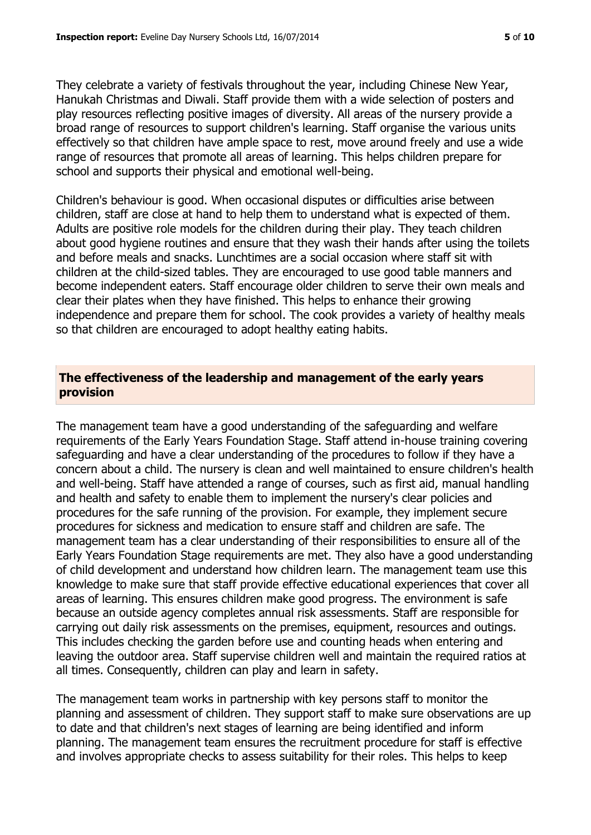They celebrate a variety of festivals throughout the year, including Chinese New Year, Hanukah Christmas and Diwali. Staff provide them with a wide selection of posters and play resources reflecting positive images of diversity. All areas of the nursery provide a broad range of resources to support children's learning. Staff organise the various units effectively so that children have ample space to rest, move around freely and use a wide range of resources that promote all areas of learning. This helps children prepare for school and supports their physical and emotional well-being.

Children's behaviour is good. When occasional disputes or difficulties arise between children, staff are close at hand to help them to understand what is expected of them. Adults are positive role models for the children during their play. They teach children about good hygiene routines and ensure that they wash their hands after using the toilets and before meals and snacks. Lunchtimes are a social occasion where staff sit with children at the child-sized tables. They are encouraged to use good table manners and become independent eaters. Staff encourage older children to serve their own meals and clear their plates when they have finished. This helps to enhance their growing independence and prepare them for school. The cook provides a variety of healthy meals so that children are encouraged to adopt healthy eating habits.

# **The effectiveness of the leadership and management of the early years provision**

The management team have a good understanding of the safeguarding and welfare requirements of the Early Years Foundation Stage. Staff attend in-house training covering safeguarding and have a clear understanding of the procedures to follow if they have a concern about a child. The nursery is clean and well maintained to ensure children's health and well-being. Staff have attended a range of courses, such as first aid, manual handling and health and safety to enable them to implement the nursery's clear policies and procedures for the safe running of the provision. For example, they implement secure procedures for sickness and medication to ensure staff and children are safe. The management team has a clear understanding of their responsibilities to ensure all of the Early Years Foundation Stage requirements are met. They also have a good understanding of child development and understand how children learn. The management team use this knowledge to make sure that staff provide effective educational experiences that cover all areas of learning. This ensures children make good progress. The environment is safe because an outside agency completes annual risk assessments. Staff are responsible for carrying out daily risk assessments on the premises, equipment, resources and outings. This includes checking the garden before use and counting heads when entering and leaving the outdoor area. Staff supervise children well and maintain the required ratios at all times. Consequently, children can play and learn in safety.

The management team works in partnership with key persons staff to monitor the planning and assessment of children. They support staff to make sure observations are up to date and that children's next stages of learning are being identified and inform planning. The management team ensures the recruitment procedure for staff is effective and involves appropriate checks to assess suitability for their roles. This helps to keep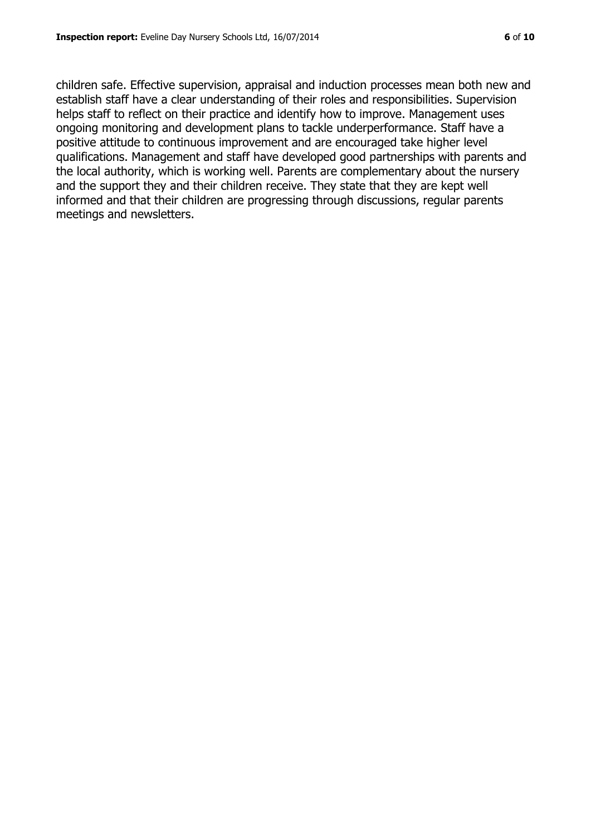children safe. Effective supervision, appraisal and induction processes mean both new and establish staff have a clear understanding of their roles and responsibilities. Supervision helps staff to reflect on their practice and identify how to improve. Management uses ongoing monitoring and development plans to tackle underperformance. Staff have a positive attitude to continuous improvement and are encouraged take higher level qualifications. Management and staff have developed good partnerships with parents and the local authority, which is working well. Parents are complementary about the nursery and the support they and their children receive. They state that they are kept well informed and that their children are progressing through discussions, regular parents meetings and newsletters.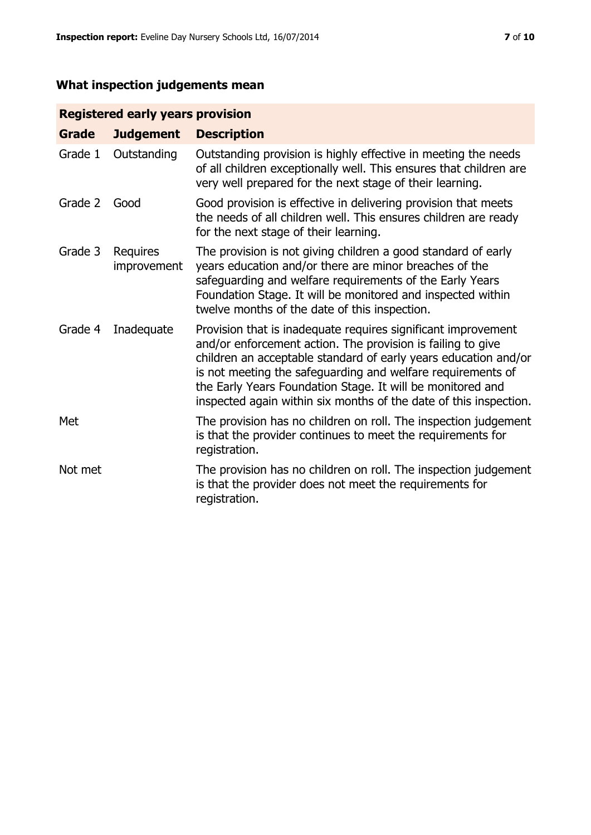# **What inspection judgements mean**

# **Registered early years provision**

| <b>Grade</b> | <b>Judgement</b>        | <b>Description</b>                                                                                                                                                                                                                                                                                                                                                                                |
|--------------|-------------------------|---------------------------------------------------------------------------------------------------------------------------------------------------------------------------------------------------------------------------------------------------------------------------------------------------------------------------------------------------------------------------------------------------|
| Grade 1      | Outstanding             | Outstanding provision is highly effective in meeting the needs<br>of all children exceptionally well. This ensures that children are<br>very well prepared for the next stage of their learning.                                                                                                                                                                                                  |
| Grade 2      | Good                    | Good provision is effective in delivering provision that meets<br>the needs of all children well. This ensures children are ready<br>for the next stage of their learning.                                                                                                                                                                                                                        |
| Grade 3      | Requires<br>improvement | The provision is not giving children a good standard of early<br>years education and/or there are minor breaches of the<br>safeguarding and welfare requirements of the Early Years<br>Foundation Stage. It will be monitored and inspected within<br>twelve months of the date of this inspection.                                                                                               |
| Grade 4      | Inadequate              | Provision that is inadequate requires significant improvement<br>and/or enforcement action. The provision is failing to give<br>children an acceptable standard of early years education and/or<br>is not meeting the safeguarding and welfare requirements of<br>the Early Years Foundation Stage. It will be monitored and<br>inspected again within six months of the date of this inspection. |
| Met          |                         | The provision has no children on roll. The inspection judgement<br>is that the provider continues to meet the requirements for<br>registration.                                                                                                                                                                                                                                                   |
| Not met      |                         | The provision has no children on roll. The inspection judgement<br>is that the provider does not meet the requirements for<br>registration.                                                                                                                                                                                                                                                       |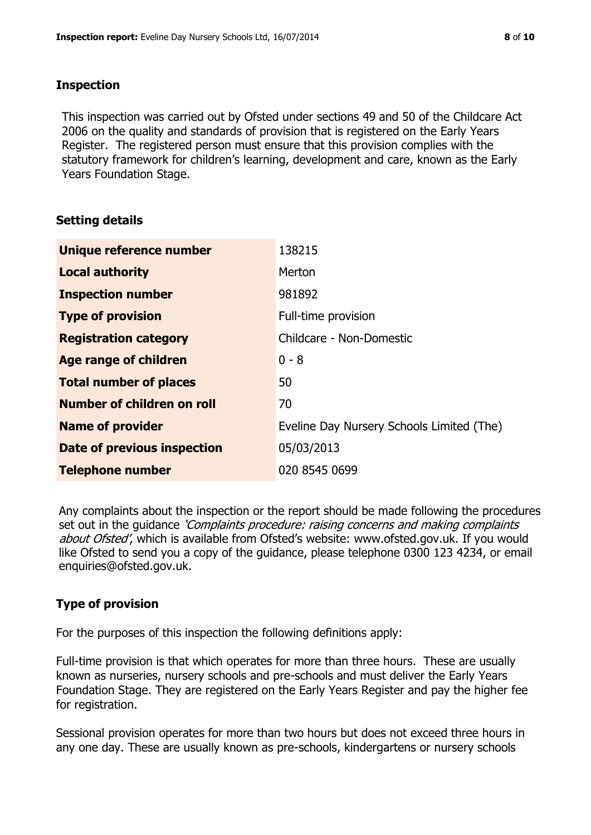# **Inspection**

This inspection was carried out by Ofsted under sections 49 and 50 of the Childcare Act 2006 on the quality and standards of provision that is registered on the Early Years Register. The registered person must ensure that this provision complies with the statutory framework for children's learning, development and care, known as the Early Years Foundation Stage.

# **Setting details**

| Unique reference number       | 138215                                    |
|-------------------------------|-------------------------------------------|
| <b>Local authority</b>        | Merton                                    |
| <b>Inspection number</b>      | 981892                                    |
| <b>Type of provision</b>      | Full-time provision                       |
| <b>Registration category</b>  | Childcare - Non-Domestic                  |
| Age range of children         | $0 - 8$                                   |
| <b>Total number of places</b> | 50                                        |
| Number of children on roll    | 70                                        |
| <b>Name of provider</b>       | Eveline Day Nursery Schools Limited (The) |
| Date of previous inspection   | 05/03/2013                                |
| <b>Telephone number</b>       | 020 8545 0699                             |

Any complaints about the inspection or the report should be made following the procedures set out in the guidance *'Complaints procedure: raising concerns and making complaints* about Ofsted', which is available from Ofsted's website: www.ofsted.gov.uk. If you would like Ofsted to send you a copy of the guidance, please telephone 0300 123 4234, or email enquiries@ofsted.gov.uk.

# **Type of provision**

For the purposes of this inspection the following definitions apply:

Full-time provision is that which operates for more than three hours. These are usually known as nurseries, nursery schools and pre-schools and must deliver the Early Years Foundation Stage. They are registered on the Early Years Register and pay the higher fee for registration.

Sessional provision operates for more than two hours but does not exceed three hours in any one day. These are usually known as pre-schools, kindergartens or nursery schools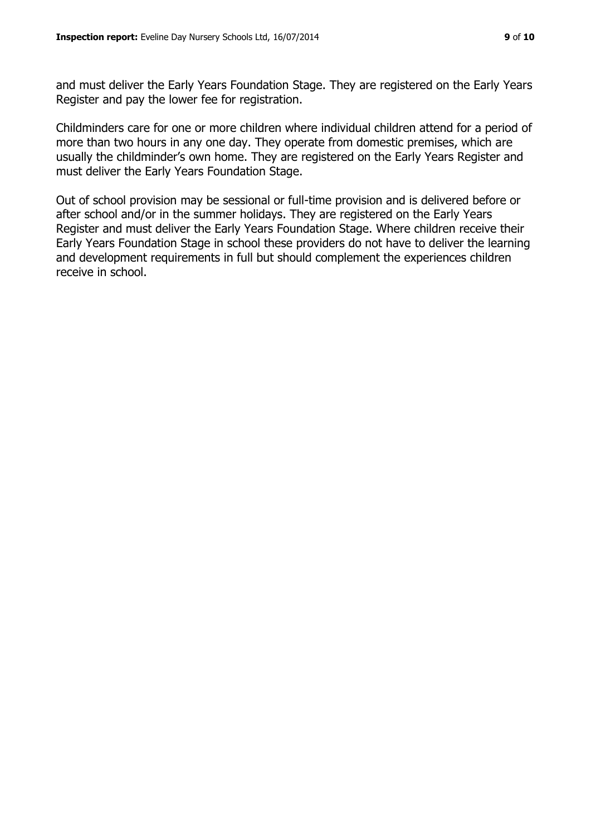and must deliver the Early Years Foundation Stage. They are registered on the Early Years Register and pay the lower fee for registration.

Childminders care for one or more children where individual children attend for a period of more than two hours in any one day. They operate from domestic premises, which are usually the childminder's own home. They are registered on the Early Years Register and must deliver the Early Years Foundation Stage.

Out of school provision may be sessional or full-time provision and is delivered before or after school and/or in the summer holidays. They are registered on the Early Years Register and must deliver the Early Years Foundation Stage. Where children receive their Early Years Foundation Stage in school these providers do not have to deliver the learning and development requirements in full but should complement the experiences children receive in school.